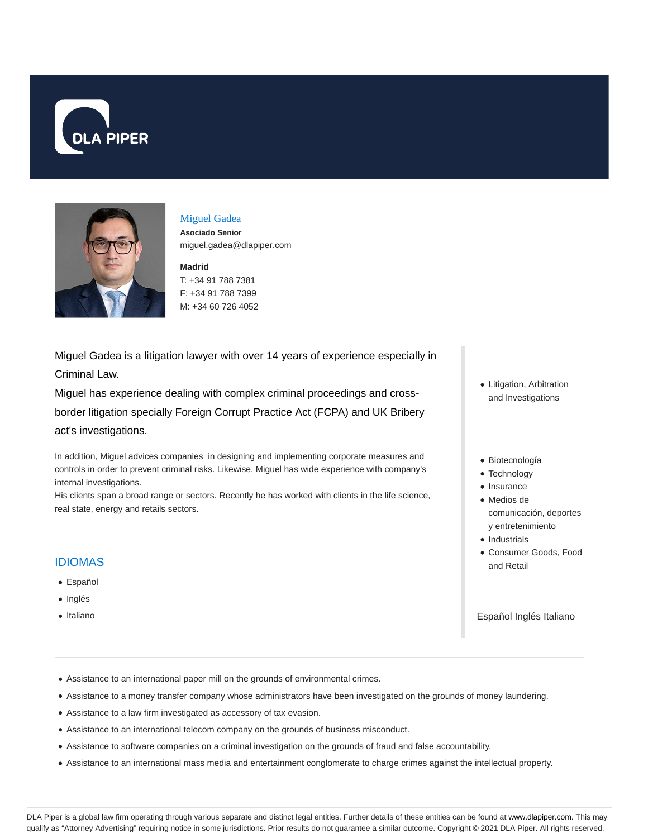



# Miguel Gadea

**Asociado Senior** miguel.gadea@dlapiper.com

#### **Madrid**

T: +34 91 788 7381 F: +34 91 788 7399 M: +34 60 726 4052

Miguel Gadea is a litigation lawyer with over 14 years of experience especially in Criminal Law.

Miguel has experience dealing with complex criminal proceedings and crossborder litigation specially Foreign Corrupt Practice Act (FCPA) and UK Bribery act's investigations.

In addition, Miguel advices companies in designing and implementing corporate measures and controls in order to prevent criminal risks. Likewise, Miguel has wide experience with company's internal investigations.

His clients span a broad range or sectors. Recently he has worked with clients in the life science, real state, energy and retails sectors.

### IDIOMAS

- Español
- Inglés
- Italiano
- Litigation, Arbitration and Investigations
- Biotecnología
- Technology
- Insurance
- Medios de comunicación, deportes
- y entretenimiento
- Industrials
- Consumer Goods, Food and Retail

Español Inglés Italiano

- Assistance to an international paper mill on the grounds of environmental crimes.
- Assistance to a money transfer company whose administrators have been investigated on the grounds of money laundering.
- Assistance to a law firm investigated as accessory of tax evasion.
- Assistance to an international telecom company on the grounds of business misconduct.
- Assistance to software companies on a criminal investigation on the grounds of fraud and false accountability.
- Assistance to an international mass media and entertainment conglomerate to charge crimes against the intellectual property.